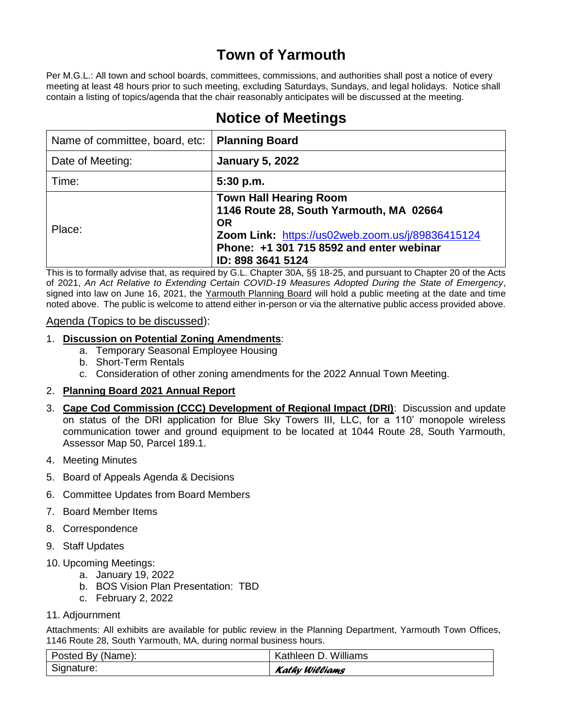# **Town of Yarmouth**

Per M.G.L.: All town and school boards, committees, commissions, and authorities shall post a notice of every meeting at least 48 hours prior to such meeting, excluding Saturdays, Sundays, and legal holidays. Notice shall contain a listing of topics/agenda that the chair reasonably anticipates will be discussed at the meeting.

| Name of committee, board, etc:   Planning Board |                                                                                                                                                                                                            |
|-------------------------------------------------|------------------------------------------------------------------------------------------------------------------------------------------------------------------------------------------------------------|
| Date of Meeting:                                | <b>January 5, 2022</b>                                                                                                                                                                                     |
| Time:                                           | $5:30$ p.m.                                                                                                                                                                                                |
| Place:                                          | <b>Town Hall Hearing Room</b><br>1146 Route 28, South Yarmouth, MA 02664<br><b>OR</b><br>Zoom Link: https://us02web.zoom.us/j/89836415124<br>Phone: +1 301 715 8592 and enter webinar<br>ID: 898 3641 5124 |

# **Notice of Meetings**

This is to formally advise that, as required by G.L. Chapter 30A, §§ 18-25, and pursuant to Chapter 20 of the Acts of 2021, *An Act Relative to Extending Certain COVID-19 Measures Adopted During the State of Emergency*, signed into law on June 16, 2021, the Yarmouth Planning Board will hold a public meeting at the date and time noted above. The public is welcome to attend either in-person or via the alternative public access provided above.

#### Agenda (Topics to be discussed):

#### 1. **Discussion on Potential Zoning Amendments**:

- a. Temporary Seasonal Employee Housing
- b. Short-Term Rentals
- c. Consideration of other zoning amendments for the 2022 Annual Town Meeting.

### 2. **Planning Board 2021 Annual Report**

- 3. **Cape Cod Commission (CCC) Development of Regional Impact (DRI)**: Discussion and update on status of the DRI application for Blue Sky Towers III, LLC, for a 110' monopole wireless communication tower and ground equipment to be located at 1044 Route 28, South Yarmouth, Assessor Map 50, Parcel 189.1.
- 4. Meeting Minutes
- 5. Board of Appeals Agenda & Decisions
- 6. Committee Updates from Board Members
- 7. Board Member Items
- 8. Correspondence
- 9. Staff Updates
- 10. Upcoming Meetings:
	- a. January 19, 2022
	- b. BOS Vision Plan Presentation: TBD
	- c. February 2, 2022

#### 11. Adjournment

Attachments: All exhibits are available for public review in the Planning Department, Yarmouth Town Offices, 1146 Route 28, South Yarmouth, MA, during normal business hours.

| Posted By (Name): | Kathleen D. Williams |
|-------------------|----------------------|
| Signature:        | Kathy Williams       |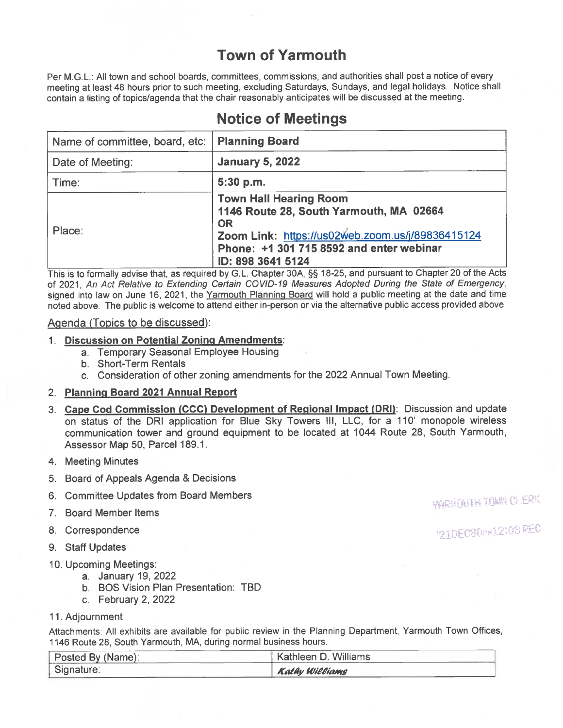## **Town of Yarmouth**

Per M.G.L.: All town and school boards, committees, commissions, and authorities shall post a notice of every meeting at least 48 hours prior to such meeting, excluding Saturdays, Sundays, and legal holidays. Notice shall contain a listing of topics/agenda that the chair reasonably anticipates will be discussed at the meeting.

| Name of committee, board, etc:   Planning Board |                                                                                                                                                                                                            |
|-------------------------------------------------|------------------------------------------------------------------------------------------------------------------------------------------------------------------------------------------------------------|
| Date of Meeting:                                | <b>January 5, 2022</b>                                                                                                                                                                                     |
| Time:                                           | 5:30 p.m.                                                                                                                                                                                                  |
| Place:                                          | <b>Town Hall Hearing Room</b><br>1146 Route 28, South Yarmouth, MA 02664<br><b>OR</b><br>Zoom Link: https://us02web.zoom.us/j/89836415124<br>Phone: +1 301 715 8592 and enter webinar<br>ID: 898 3641 5124 |

## **Notice of Meetings**

This is to formally advise that, as required by G.L. Chapter 30A, §§ 18-25, and pursuant to Chapter 20 of the Acts of 2021, An Act Relative to Extending Certain COVID-19 Measures Adopted During the State of Emergency, signed into law on June 16, 2021, the Yarmouth Planning Board will hold a public meeting at the date and time noted above. The public is welcome to attend either in-person or via the alternative public access provided above.

#### Agenda (Topics to be discussed):

#### 1. Discussion on Potential Zoning Amendments:

- a. Temporary Seasonal Employee Housing
- b. Short-Term Rentals
- c. Consideration of other zoning amendments for the 2022 Annual Town Meeting.

#### 2. Planning Board 2021 Annual Report

- 3. Cape Cod Commission (CCC) Development of Regional Impact (DRI): Discussion and update on status of the DRI application for Blue Sky Towers III, LLC, for a 110' monopole wireless communication tower and ground equipment to be located at 1044 Route 28, South Yarmouth, Assessor Map 50, Parcel 189.1.
- 4. Meeting Minutes
- 5. Board of Appeals Agenda & Decisions
- 6. Committee Updates from Board Members
- 7. Board Member Items
- 8. Correspondence
- 9. Staff Updates
- 10. Upcoming Meetings:
	- a. January 19, 2022
	- b. BOS Vision Plan Presentation: TBD
	- c. February 2, 2022
- 11. Adjournment

Attachments: All exhibits are available for public review in the Planning Department, Yarmouth Town Offices, 1146 Route 28, South Yarmouth, MA, during normal business hours.

| Posted By (Name): | Kathleen D. Williams |
|-------------------|----------------------|
| Signature:        | Kathy Williams       |

**YARMOUTH TOWN CLERK** 

PIDECBOPH12:03 REC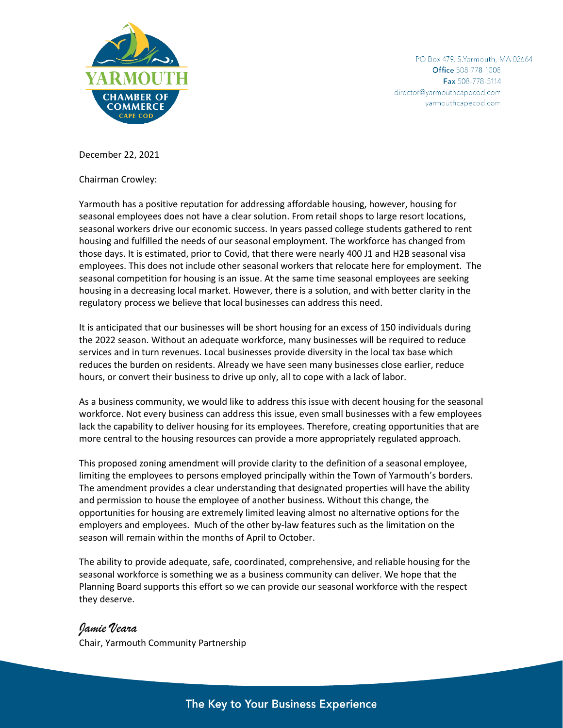

PO Box 479, S.Yarmouth, MA 02664 Office 508-778-1008 Fax 508-778-5114 director@yarmouthcapecod.com yarmouthcapecod.com

December 22, 2021

Chairman Crowley:

Yarmouth has a positive reputation for addressing affordable housing, however, housing for seasonal employees does not have a clear solution. From retail shops to large resort locations, seasonal workers drive our economic success. In years passed college students gathered to rent housing and fulfilled the needs of our seasonal employment. The workforce has changed from those days. It is estimated, prior to Covid, that there were nearly 400 J1 and H2B seasonal visa employees. This does not include other seasonal workers that relocate here for employment. The seasonal competition for housing is an issue. At the same time seasonal employees are seeking housing in a decreasing local market. However, there is a solution, and with better clarity in the regulatory process we believe that local businesses can address this need.

It is anticipated that our businesses will be short housing for an excess of 150 individuals during the 2022 season. Without an adequate workforce, many businesses will be required to reduce services and in turn revenues. Local businesses provide diversity in the local tax base which reduces the burden on residents. Already we have seen many businesses close earlier, reduce hours, or convert their business to drive up only, all to cope with a lack of labor.

As a business community, we would like to address this issue with decent housing for the seasonal workforce. Not every business can address this issue, even small businesses with a few employees lack the capability to deliver housing for its employees. Therefore, creating opportunities that are more central to the housing resources can provide a more appropriately regulated approach.

This proposed zoning amendment will provide clarity to the definition of a seasonal employee, limiting the employees to persons employed principally within the Town of Yarmouth's borders. The amendment provides a clear understanding that designated properties will have the ability and permission to house the employee of another business. Without this change, the opportunities for housing are extremely limited leaving almost no alternative options for the employers and employees. Much of the other by-law features such as the limitation on the season will remain within the months of April to October.

The ability to provide adequate, safe, coordinated, comprehensive, and reliable housing for the seasonal workforce is something we as a business community can deliver. We hope that the Planning Board supports this effort so we can provide our seasonal workforce with the respect they deserve.

### *Jamie Veara*

Chair, Yarmouth Community Partnership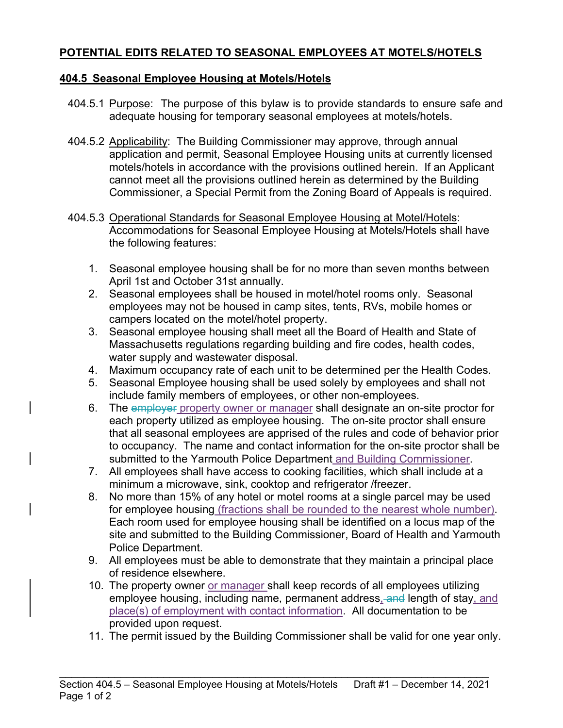## **POTENTIAL EDITS RELATED TO SEASONAL EMPLOYEES AT MOTELS/HOTELS**

### **404.5 Seasonal Employee Housing at Motels/Hotels**

- 404.5.1 Purpose: The purpose of this bylaw is to provide standards to ensure safe and adequate housing for temporary seasonal employees at motels/hotels.
- 404.5.2 Applicability: The Building Commissioner may approve, through annual application and permit, Seasonal Employee Housing units at currently licensed motels/hotels in accordance with the provisions outlined herein. If an Applicant cannot meet all the provisions outlined herein as determined by the Building Commissioner, a Special Permit from the Zoning Board of Appeals is required.
- 404.5.3 Operational Standards for Seasonal Employee Housing at Motel/Hotels: Accommodations for Seasonal Employee Housing at Motels/Hotels shall have the following features:
	- 1. Seasonal employee housing shall be for no more than seven months between April 1st and October 31st annually.
	- 2. Seasonal employees shall be housed in motel/hotel rooms only. Seasonal employees may not be housed in camp sites, tents, RVs, mobile homes or campers located on the motel/hotel property.
	- 3. Seasonal employee housing shall meet all the Board of Health and State of Massachusetts regulations regarding building and fire codes, health codes, water supply and wastewater disposal.
	- 4. Maximum occupancy rate of each unit to be determined per the Health Codes.
	- 5. Seasonal Employee housing shall be used solely by employees and shall not include family members of employees, or other non-employees.
	- 6. The employer property owner or manager shall designate an on-site proctor for each property utilized as employee housing. The on-site proctor shall ensure that all seasonal employees are apprised of the rules and code of behavior prior to occupancy. The name and contact information for the on-site proctor shall be submitted to the Yarmouth Police Department and Building Commissioner.
	- 7. All employees shall have access to cooking facilities, which shall include at a minimum a microwave, sink, cooktop and refrigerator /freezer.
	- 8. No more than 15% of any hotel or motel rooms at a single parcel may be used for employee housing (fractions shall be rounded to the nearest whole number). Each room used for employee housing shall be identified on a locus map of the site and submitted to the Building Commissioner, Board of Health and Yarmouth Police Department.
	- 9. All employees must be able to demonstrate that they maintain a principal place of residence elsewhere.
	- 10. The property owner or manager shall keep records of all employees utilizing employee housing, including name, permanent address, and length of stay, and place(s) of employment with contact information. All documentation to be provided upon request.
	- 11. The permit issued by the Building Commissioner shall be valid for one year only.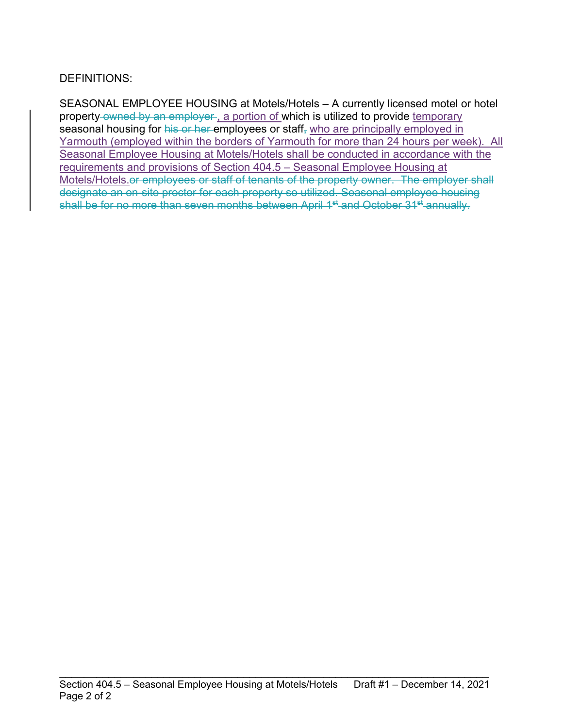## DEFINITIONS:

SEASONAL EMPLOYEE HOUSING at Motels/Hotels – A currently licensed motel or hotel property-owned by an employer, a portion of which is utilized to provide temporary seasonal housing for his or her employees or staff, who are principally employed in Yarmouth (employed within the borders of Yarmouth for more than 24 hours per week). All Seasonal Employee Housing at Motels/Hotels shall be conducted in accordance with the requirements and provisions of Section 404.5 – Seasonal Employee Housing at Motels/Hotels.or employees or staff of tenants of the property owner. The employer shall designate an on-site proctor for each property so utilized. Seasonal employee housing shall be for no more than seven months between April 1<sup>st</sup> and October 31<sup>st</sup> annually.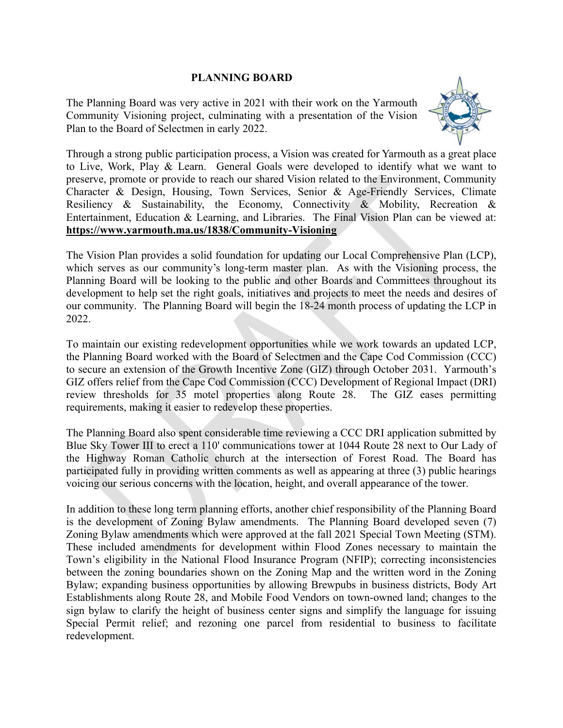#### **PLANNING BOARD**

The Planning Board was very active in 2021 with their work on the Yarmouth Community Visioning project, culminating with a presentation of the Vision Plan to the Board of Selectmen in early 2022.



Through a strong public participation process, a Vision was created for Yarmouth as a great place to Live, Work, Play & Learn. General Goals were developed to identify what we want to preserve, promote or provide to reach our shared Vision related to the Environment, Community Character & Design, Housing, Town Services, Senior & Age-Friendly Services, Climate Resiliency & Sustainability, the Economy, Connectivity & Mobility, Recreation & Entertainment, Education & Learning, and Libraries. The Final Vision Plan can be viewed at: **https://www.yarmouth.ma.us/1838/Community-Visioning**

The Vision Plan provides a solid foundation for updating our Local Comprehensive Plan (LCP), which serves as our community's long-term master plan. As with the Visioning process, the Planning Board will be looking to the public and other Boards and Committees throughout its development to help set the right goals, initiatives and projects to meet the needs and desires of our community. The Planning Board will begin the 18-24 month process of updating the LCP in 2022.

To maintain our existing redevelopment opportunities while we work towards an updated LCP, the Planning Board worked with the Board of Selectmen and the Cape Cod Commission (CCC) to secure an extension of the Growth Incentive Zone (GIZ) through October 2031. Yarmouth's GIZ offers relief from the Cape Cod Commission (CCC) Development of Regional Impact (DRI) review thresholds for 35 motel properties along Route 28. The GIZ eases permitting requirements, making it easier to redevelop these properties.

The Planning Board also spent considerable time reviewing a CCC DRI application submitted by Blue Sky Tower III to erect a 110' communications tower at 1044 Route 28 next to Our Lady of the Highway Roman Catholic church at the intersection of Forest Road. The Board has participated fully in providing written comments as well as appearing at three (3) public hearings voicing our serious concerns with the location, height, and overall appearance of the tower.

In addition to these long term planning efforts, another chief responsibility of the Planning Board is the development of Zoning Bylaw amendments. The Planning Board developed seven (7) Zoning Bylaw amendments which were approved at the fall 2021 Special Town Meeting (STM). These included amendments for development within Flood Zones necessary to maintain the Town's eligibility in the National Flood Insurance Program (NFIP); correcting inconsistencies between the zoning boundaries shown on the Zoning Map and the written word in the Zoning Bylaw; expanding business opportunities by allowing Brewpubs in business districts, Body Art Establishments along Route 28, and Mobile Food Vendors on town-owned land; changes to the sign bylaw to clarify the height of business center signs and simplify the language for issuing Special Permit relief; and rezoning one parcel from residential to business to facilitate redevelopment.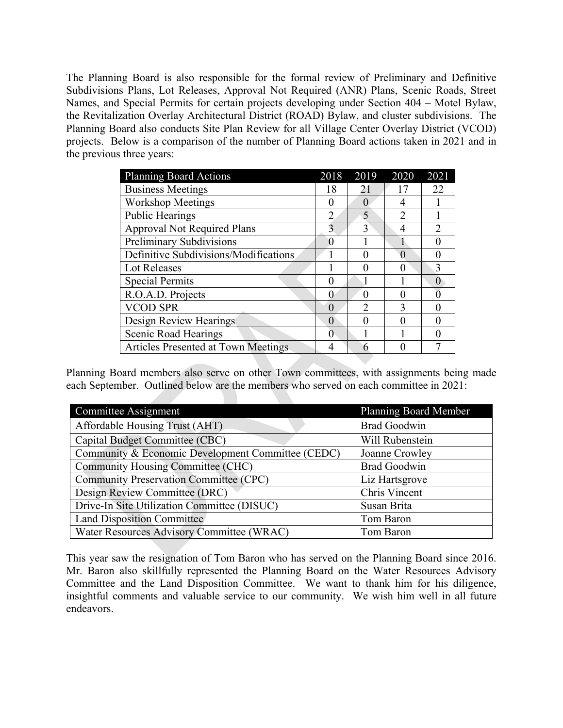The Planning Board is also responsible for the formal review of Preliminary and Definitive Subdivisions Plans, Lot Releases, Approval Not Required (ANR) Plans, Scenic Roads, Street Names, and Special Permits for certain projects developing under Section 404 – Motel Bylaw, the Revitalization Overlay Architectural District (ROAD) Bylaw, and cluster subdivisions. The Planning Board also conducts Site Plan Review for all Village Center Overlay District (VCOD) projects. Below is a comparison of the number of Planning Board actions taken in 2021 and in the previous three years:

| Planning Board Actions                     |              | 2019                     | 2020              | 2021 |
|--------------------------------------------|--------------|--------------------------|-------------------|------|
| <b>Business Meetings</b>                   |              | 21                       | 17                | 22   |
| <b>Workshop Meetings</b>                   |              |                          |                   |      |
| Public Hearings                            |              | $\overline{\phantom{0}}$ | 2                 |      |
| <b>Approval Not Required Plans</b>         |              | 3                        | 4                 |      |
| Preliminary Subdivisions                   | $\mathbf{0}$ |                          |                   |      |
| Definitive Subdivisions/Modifications      |              |                          | $\mathbf{\Omega}$ |      |
| Lot Releases                               |              |                          | 0                 |      |
| <b>Special Permits</b>                     |              |                          |                   |      |
| R.O.A.D. Projects                          |              | 0                        |                   |      |
| <b>VCOD SPR</b>                            | $\mathbf{0}$ |                          | 3                 |      |
| Design Review Hearings                     | 0            |                          |                   |      |
| <b>Scenic Road Hearings</b>                |              |                          |                   |      |
| <b>Articles Presented at Town Meetings</b> |              |                          |                   |      |

Planning Board members also serve on other Town committees, with assignments being made each September. Outlined below are the members who served on each committee in 2021:

| <b>Committee Assignment</b>                       | Planning Board Member |  |  |
|---------------------------------------------------|-----------------------|--|--|
| Affordable Housing Trust (AHT)                    | <b>Brad Goodwin</b>   |  |  |
| Capital Budget Committee (CBC)                    | Will Rubenstein       |  |  |
| Community & Economic Development Committee (CEDC) | Joanne Crowley        |  |  |
| Community Housing Committee (CHC)                 | <b>Brad Goodwin</b>   |  |  |
| <b>Community Preservation Committee (CPC)</b>     | Liz Hartsgrove        |  |  |
| Design Review Committee (DRC)                     | Chris Vincent         |  |  |
| Drive-In Site Utilization Committee (DISUC)       | Susan Brita           |  |  |
| <b>Land Disposition Committee</b>                 | Tom Baron             |  |  |
| Water Resources Advisory Committee (WRAC)         | Tom Baron             |  |  |

This year saw the resignation of Tom Baron who has served on the Planning Board since 2016. Mr. Baron also skillfully represented the Planning Board on the Water Resources Advisory Committee and the Land Disposition Committee. We want to thank him for his diligence, insightful comments and valuable service to our community. We wish him well in all future endeavors.